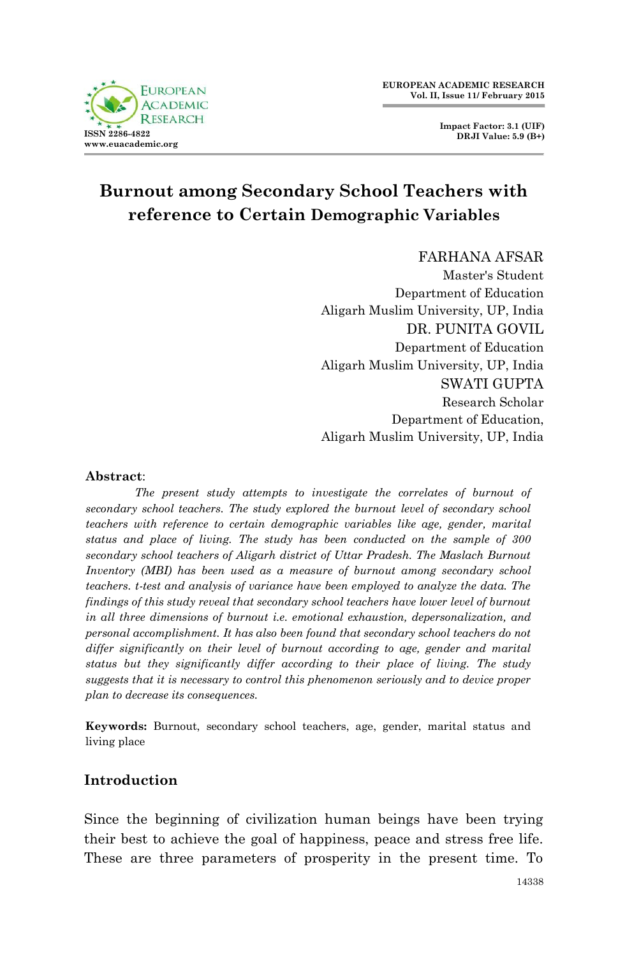

**Impact Factor: 3.1 (UIF) DRJI Value: 5.9 (B+)**

# **Burnout among Secondary School Teachers with reference to Certain Demographic Variables**

FARHANA AFSAR Master's Student Department of Education Aligarh Muslim University, UP, India DR. PUNITA GOVIL Department of Education Aligarh Muslim University, UP, India SWATI GUPTA Research Scholar Department of Education, Aligarh Muslim University, UP, India

#### **Abstract**:

*The present study attempts to investigate the correlates of burnout of secondary school teachers. The study explored the burnout level of secondary school teachers with reference to certain demographic variables like age, gender, marital status and place of living. The study has been conducted on the sample of 300 secondary school teachers of Aligarh district of Uttar Pradesh. The Maslach Burnout Inventory (MBI) has been used as a measure of burnout among secondary school teachers. t-test and analysis of variance have been employed to analyze the data. The findings of this study reveal that secondary school teachers have lower level of burnout in all three dimensions of burnout i.e. emotional exhaustion, depersonalization, and personal accomplishment. It has also been found that secondary school teachers do not differ significantly on their level of burnout according to age, gender and marital status but they significantly differ according to their place of living. The study suggests that it is necessary to control this phenomenon seriously and to device proper plan to decrease its consequences.* 

**Keywords:** Burnout, secondary school teachers, age, gender, marital status and living place

## **Introduction**

Since the beginning of civilization human beings have been trying their best to achieve the goal of happiness, peace and stress free life. These are three parameters of prosperity in the present time. To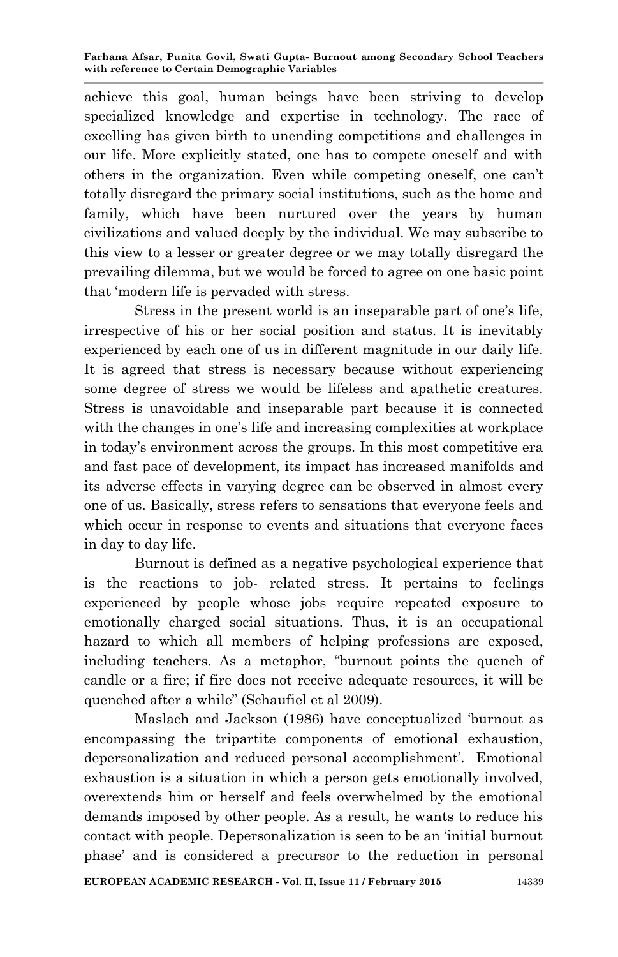achieve this goal, human beings have been striving to develop specialized knowledge and expertise in technology. The race of excelling has given birth to unending competitions and challenges in our life. More explicitly stated, one has to compete oneself and with others in the organization. Even while competing oneself, one can"t totally disregard the primary social institutions, such as the home and family, which have been nurtured over the years by human civilizations and valued deeply by the individual. We may subscribe to this view to a lesser or greater degree or we may totally disregard the prevailing dilemma, but we would be forced to agree on one basic point that "modern life is pervaded with stress.

Stress in the present world is an inseparable part of one's life, irrespective of his or her social position and status. It is inevitably experienced by each one of us in different magnitude in our daily life. It is agreed that stress is necessary because without experiencing some degree of stress we would be lifeless and apathetic creatures. Stress is unavoidable and inseparable part because it is connected with the changes in one's life and increasing complexities at workplace in today"s environment across the groups. In this most competitive era and fast pace of development, its impact has increased manifolds and its adverse effects in varying degree can be observed in almost every one of us. Basically, stress refers to sensations that everyone feels and which occur in response to events and situations that everyone faces in day to day life.

Burnout is defined as a negative psychological experience that is the reactions to job- related stress. It pertains to feelings experienced by people whose jobs require repeated exposure to emotionally charged social situations. Thus, it is an occupational hazard to which all members of helping professions are exposed, including teachers. As a metaphor, "burnout points the quench of candle or a fire; if fire does not receive adequate resources, it will be quenched after a while" (Schaufiel et al 2009).

Maslach and Jackson (1986) have conceptualized "burnout as encompassing the tripartite components of emotional exhaustion, depersonalization and reduced personal accomplishment'. Emotional exhaustion is a situation in which a person gets emotionally involved, overextends him or herself and feels overwhelmed by the emotional demands imposed by other people. As a result, he wants to reduce his contact with people. Depersonalization is seen to be an "initial burnout phase" and is considered a precursor to the reduction in personal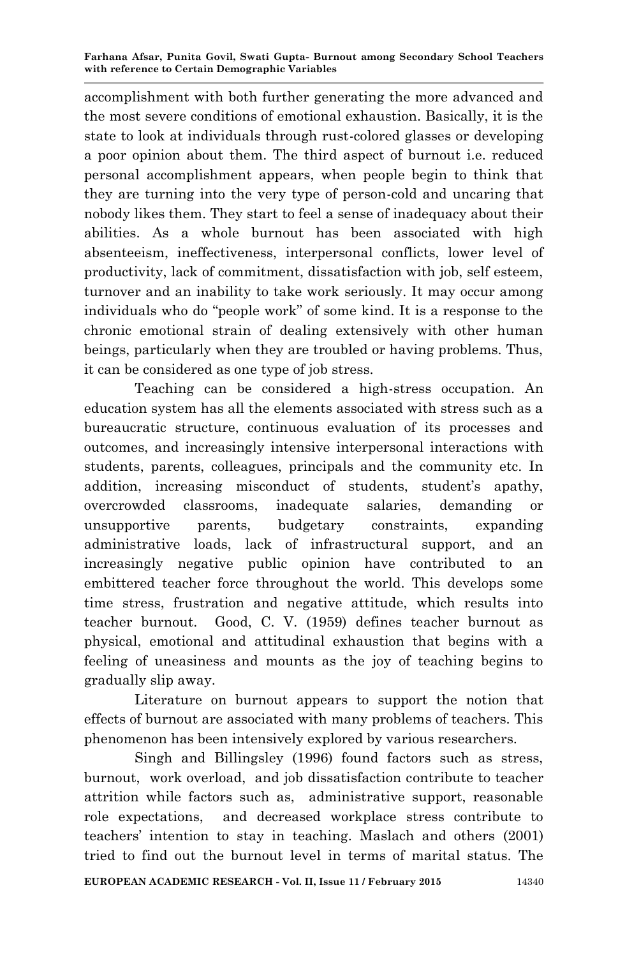accomplishment with both further generating the more advanced and the most severe conditions of emotional exhaustion. Basically, it is the state to look at individuals through rust-colored glasses or developing a poor opinion about them. The third aspect of burnout i.e. reduced personal accomplishment appears, when people begin to think that they are turning into the very type of person-cold and uncaring that nobody likes them. They start to feel a sense of inadequacy about their abilities. As a whole burnout has been associated with high absenteeism, ineffectiveness, interpersonal conflicts, lower level of productivity, lack of commitment, dissatisfaction with job, self esteem, turnover and an inability to take work seriously. It may occur among individuals who do "people work" of some kind. It is a response to the chronic emotional strain of dealing extensively with other human beings, particularly when they are troubled or having problems. Thus, it can be considered as one type of job stress.

Teaching can be considered a high-stress occupation. An education system has all the elements associated with stress such as a bureaucratic structure, continuous evaluation of its processes and outcomes, and increasingly intensive interpersonal interactions with students, parents, colleagues, principals and the community etc. In addition, increasing misconduct of students, student's apathy, overcrowded classrooms, inadequate salaries, demanding or unsupportive parents, budgetary constraints, expanding administrative loads, lack of infrastructural support, and an increasingly negative public opinion have contributed to an embittered teacher force throughout the world. This develops some time stress, frustration and negative attitude, which results into teacher burnout. Good, C. V. (1959) defines teacher burnout as physical, emotional and attitudinal exhaustion that begins with a feeling of uneasiness and mounts as the joy of teaching begins to gradually slip away.

Literature on burnout appears to support the notion that effects of burnout are associated with many problems of teachers. This phenomenon has been intensively explored by various researchers.

Singh and Billingsley (1996) found factors such as stress, burnout, work overload, and job dissatisfaction contribute to teacher attrition while factors such as, administrative support, reasonable role expectations, and decreased workplace stress contribute to teachers" intention to stay in teaching. Maslach and others (2001) tried to find out the burnout level in terms of marital status. The

**EUROPEAN ACADEMIC RESEARCH - Vol. II, Issue 11 / February 2015** 14340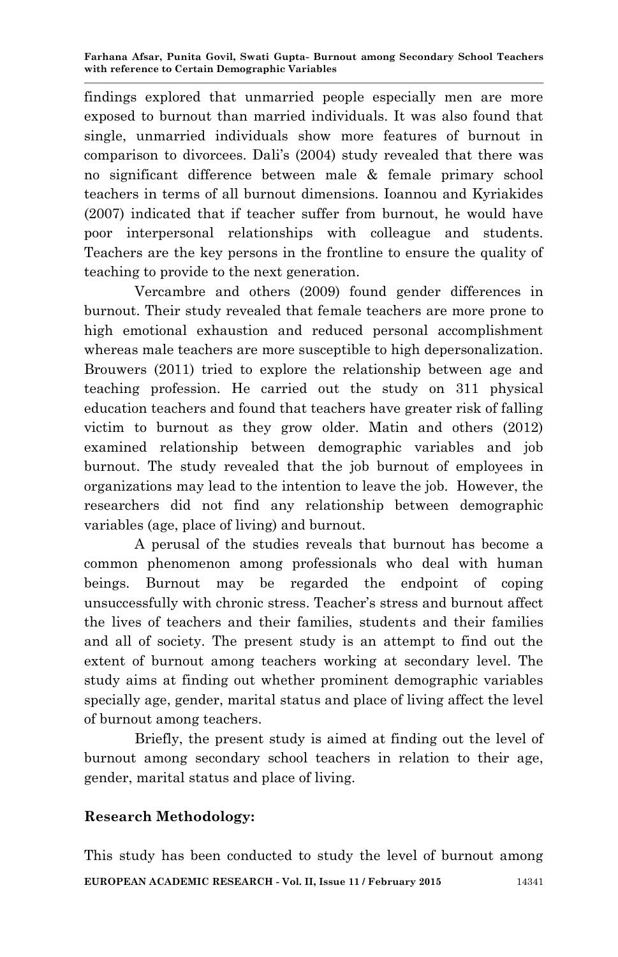findings explored that unmarried people especially men are more exposed to burnout than married individuals. It was also found that single, unmarried individuals show more features of burnout in comparison to divorcees. Dali"s (2004) study revealed that there was no significant difference between male & female primary school teachers in terms of all burnout dimensions. Ioannou and Kyriakides (2007) indicated that if teacher suffer from burnout, he would have poor interpersonal relationships with colleague and students. Teachers are the key persons in the frontline to ensure the quality of teaching to provide to the next generation.

Vercambre and others (2009) found gender differences in burnout. Their study revealed that female teachers are more prone to high emotional exhaustion and reduced personal accomplishment whereas male teachers are more susceptible to high depersonalization. Brouwers (2011) tried to explore the relationship between age and teaching profession. He carried out the study on 311 physical education teachers and found that teachers have greater risk of falling victim to burnout as they grow older. Matin and others (2012) examined relationship between demographic variables and job burnout. The study revealed that the job burnout of employees in organizations may lead to the intention to leave the job. However, the researchers did not find any relationship between demographic variables (age, place of living) and burnout.

A perusal of the studies reveals that burnout has become a common phenomenon among professionals who deal with human beings. Burnout may be regarded the endpoint of coping unsuccessfully with chronic stress. Teacher"s stress and burnout affect the lives of teachers and their families, students and their families and all of society. The present study is an attempt to find out the extent of burnout among teachers working at secondary level. The study aims at finding out whether prominent demographic variables specially age, gender, marital status and place of living affect the level of burnout among teachers.

Briefly, the present study is aimed at finding out the level of burnout among secondary school teachers in relation to their age, gender, marital status and place of living.

## **Research Methodology:**

**EUROPEAN ACADEMIC RESEARCH - Vol. II, Issue 11 / February 2015** 14341 This study has been conducted to study the level of burnout among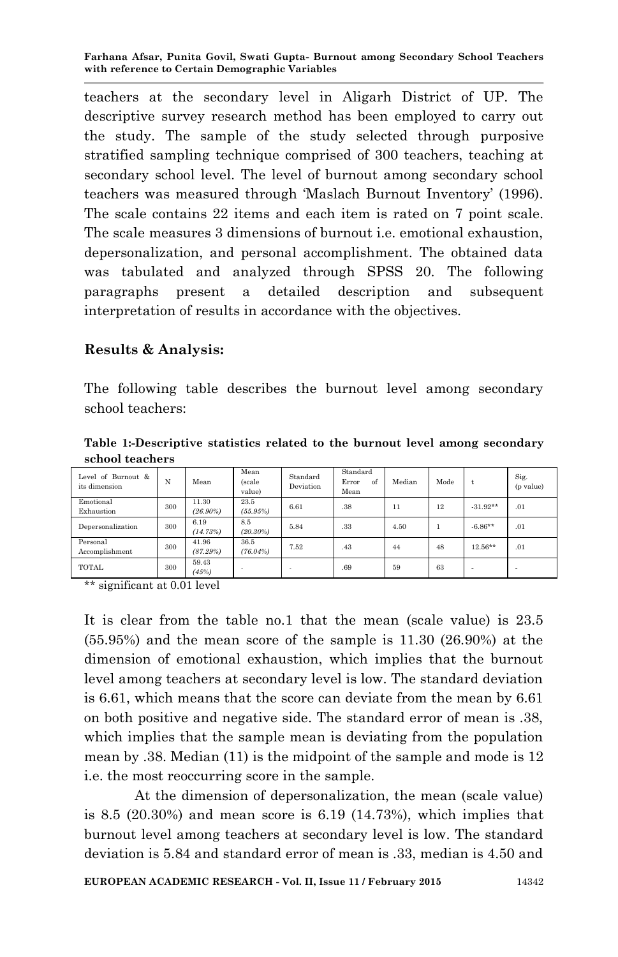teachers at the secondary level in Aligarh District of UP. The descriptive survey research method has been employed to carry out the study. The sample of the study selected through purposive stratified sampling technique comprised of 300 teachers, teaching at secondary school level. The level of burnout among secondary school teachers was measured through "Maslach Burnout Inventory" (1996). The scale contains 22 items and each item is rated on 7 point scale. The scale measures 3 dimensions of burnout i.e. emotional exhaustion, depersonalization, and personal accomplishment. The obtained data was tabulated and analyzed through SPSS 20. The following paragraphs present a detailed description and subsequent interpretation of results in accordance with the objectives.

#### **Results & Analysis:**

The following table describes the burnout level among secondary school teachers:

**Table 1:-Descriptive statistics related to the burnout level among secondary school teachers**

| Level of Burnout &<br>its dimension | N   | Mean                 | Mean<br>(scale<br>value) | Standard<br>Deviation | Standard<br>Error<br>of<br>Mean | Median | Mode |            | Sig.<br>(p value) |
|-------------------------------------|-----|----------------------|--------------------------|-----------------------|---------------------------------|--------|------|------------|-------------------|
| Emotional<br>Exhaustion             | 300 | 11.30<br>$(26.90\%)$ | 23.5<br>(55.95%)         | 6.61                  | .38                             | 11     | 12   | $-31.92**$ | .01               |
| Depersonalization                   | 300 | 6.19<br>(14.73%)     | 8.5<br>$(20.30\%)$       | 5.84                  | .33                             | 4.50   |      | $-6.86**$  | .01               |
| Personal<br>Accomplishment          | 300 | 41.96<br>(87.29%)    | 36.5<br>$(76.04\%)$      | 7.52                  | .43                             | 44     | 48   | $12.56**$  | .01               |
| TOTAL                               | 300 | 59.43<br>(45%)       |                          |                       | .69                             | 59     | 63   | -          | -                 |

\*\* significant at 0.01 level

It is clear from the table no.1 that the mean (scale value) is 23.5 (55.95%) and the mean score of the sample is 11.30 (26.90%) at the dimension of emotional exhaustion, which implies that the burnout level among teachers at secondary level is low. The standard deviation is 6.61, which means that the score can deviate from the mean by 6.61 on both positive and negative side. The standard error of mean is .38, which implies that the sample mean is deviating from the population mean by .38. Median (11) is the midpoint of the sample and mode is 12 i.e. the most reoccurring score in the sample.

At the dimension of depersonalization, the mean (scale value) is 8.5 (20.30%) and mean score is 6.19 (14.73%), which implies that burnout level among teachers at secondary level is low. The standard deviation is 5.84 and standard error of mean is .33, median is 4.50 and

**EUROPEAN ACADEMIC RESEARCH - Vol. II, Issue 11 / February 2015** 14342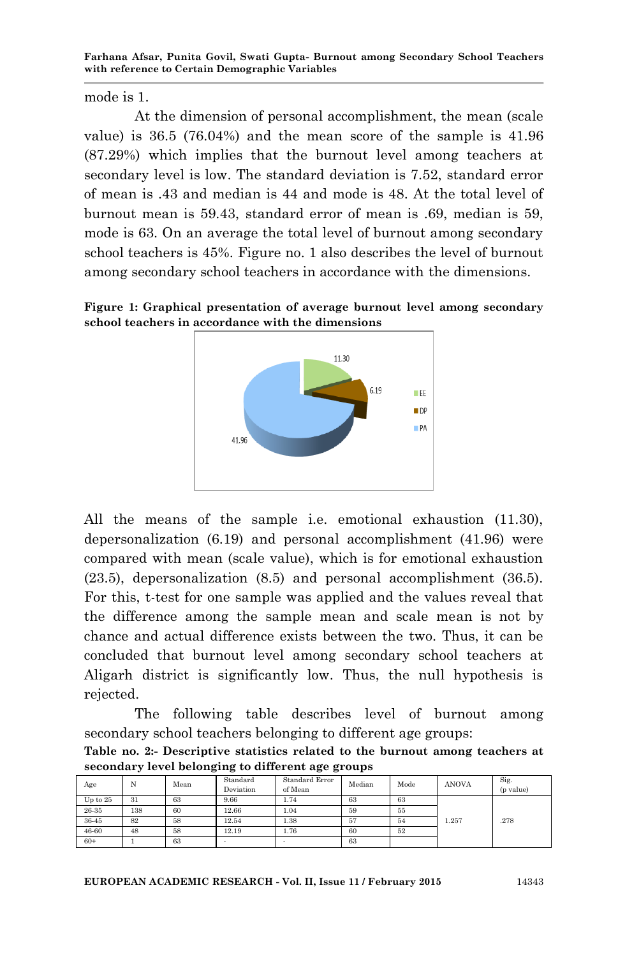mode is 1.

At the dimension of personal accomplishment, the mean (scale value) is 36.5 (76.04%) and the mean score of the sample is 41.96 (87.29%) which implies that the burnout level among teachers at secondary level is low. The standard deviation is 7.52, standard error of mean is .43 and median is 44 and mode is 48. At the total level of burnout mean is 59.43, standard error of mean is .69, median is 59, mode is 63. On an average the total level of burnout among secondary school teachers is 45%. Figure no. 1 also describes the level of burnout among secondary school teachers in accordance with the dimensions.





All the means of the sample i.e. emotional exhaustion (11.30), depersonalization (6.19) and personal accomplishment (41.96) were compared with mean (scale value), which is for emotional exhaustion (23.5), depersonalization (8.5) and personal accomplishment (36.5). For this, t-test for one sample was applied and the values reveal that the difference among the sample mean and scale mean is not by chance and actual difference exists between the two. Thus, it can be concluded that burnout level among secondary school teachers at Aligarh district is significantly low. Thus, the null hypothesis is rejected.

The following table describes level of burnout among secondary school teachers belonging to different age groups:

**Table no. 2:- Descriptive statistics related to the burnout among teachers at secondary level belonging to different age groups**

| Age      | N   | Mean | Standard<br>Deviation | Standard Error<br>of Mean | Median | Mode | <b>ANOVA</b> | Sig.<br>(p value) |
|----------|-----|------|-----------------------|---------------------------|--------|------|--------------|-------------------|
| Up to 25 | 31  | 63   | 9.66                  | 1.74                      | 63     | 63   |              |                   |
| 26-35    | 138 | 60   | 12.66                 | 1.04                      | 59     | 55   |              |                   |
| 36-45    | 82  | 58   | 12.54                 | 1.38                      | 57     | 54   | 1.257        | .278              |
| 46-60    | 48  | 58   | 12.19                 | 1.76                      | 60     | 52   |              |                   |
| $60+$    |     | 63   |                       |                           | 63     |      |              |                   |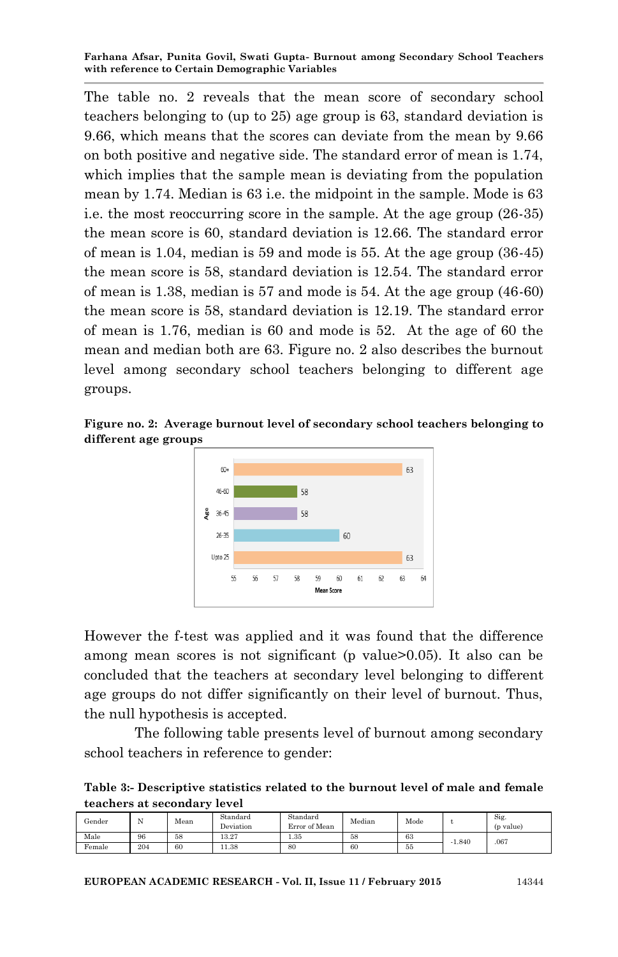The table no. 2 reveals that the mean score of secondary school teachers belonging to (up to 25) age group is 63, standard deviation is 9.66, which means that the scores can deviate from the mean by 9.66 on both positive and negative side. The standard error of mean is 1.74, which implies that the sample mean is deviating from the population mean by 1.74. Median is 63 i.e. the midpoint in the sample. Mode is 63 i.e. the most reoccurring score in the sample. At the age group (26-35) the mean score is 60, standard deviation is 12.66. The standard error of mean is 1.04, median is 59 and mode is 55. At the age group (36-45) the mean score is 58, standard deviation is 12.54. The standard error of mean is 1.38, median is 57 and mode is 54. At the age group (46-60) the mean score is 58, standard deviation is 12.19. The standard error of mean is 1.76, median is 60 and mode is 52. At the age of 60 the mean and median both are 63. Figure no. 2 also describes the burnout level among secondary school teachers belonging to different age groups.

**Figure no. 2: Average burnout level of secondary school teachers belonging to different age groups**



However the f-test was applied and it was found that the difference among mean scores is not significant (p value>0.05). It also can be concluded that the teachers at secondary level belonging to different age groups do not differ significantly on their level of burnout. Thus, the null hypothesis is accepted.

The following table presents level of burnout among secondary school teachers in reference to gender:

**Table 3:- Descriptive statistics related to the burnout level of male and female teachers at secondary level**

| Gender | N   | Mean | Standard<br>Deviation | Standard<br>Error of Mean | Median | Mode |          | Sig.<br>(p value) |
|--------|-----|------|-----------------------|---------------------------|--------|------|----------|-------------------|
| Male   | 96  | 58   | 13.27                 | 1.35                      | 58     | 63   | $-1.840$ | .067              |
| Female | 204 | 60   | 11.38                 | 80                        | 60     | 55   |          |                   |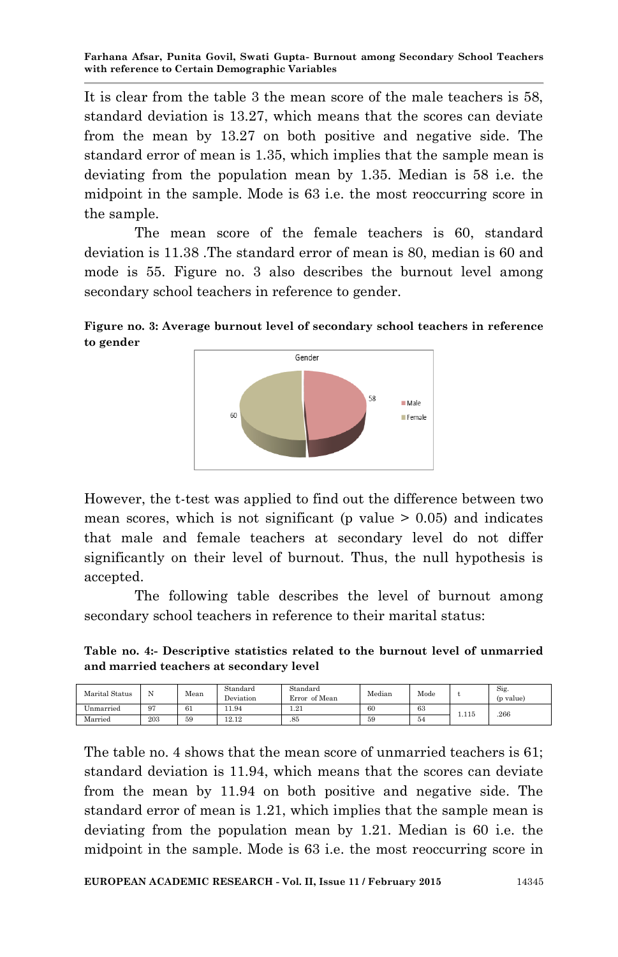It is clear from the table 3 the mean score of the male teachers is 58, standard deviation is 13.27, which means that the scores can deviate from the mean by 13.27 on both positive and negative side. The standard error of mean is 1.35, which implies that the sample mean is deviating from the population mean by 1.35. Median is 58 i.e. the midpoint in the sample. Mode is 63 i.e. the most reoccurring score in the sample.

The mean score of the female teachers is 60, standard deviation is 11.38 .The standard error of mean is 80, median is 60 and mode is 55. Figure no. 3 also describes the burnout level among secondary school teachers in reference to gender.





However, the t-test was applied to find out the difference between two mean scores, which is not significant (p value  $> 0.05$ ) and indicates that male and female teachers at secondary level do not differ significantly on their level of burnout. Thus, the null hypothesis is accepted.

The following table describes the level of burnout among secondary school teachers in reference to their marital status:

**Table no. 4:- Descriptive statistics related to the burnout level of unmarried and married teachers at secondary level**

| Marital Status |          | Mean | Standard<br>Deviation | Standard<br>Error of Mean | Median | Mode |       | Sig.<br>(p value) |
|----------------|----------|------|-----------------------|---------------------------|--------|------|-------|-------------------|
| Jnmarried      | 07<br>., | 61   | 11.94                 | 1.21                      | 60     | 63   | 1.115 | 266               |
| Married        | 203      | 59   | 12.12                 | .85                       | 59     | 54   |       |                   |

The table no. 4 shows that the mean score of unmarried teachers is 61; standard deviation is 11.94, which means that the scores can deviate from the mean by 11.94 on both positive and negative side. The standard error of mean is 1.21, which implies that the sample mean is deviating from the population mean by 1.21. Median is 60 i.e. the midpoint in the sample. Mode is 63 i.e. the most reoccurring score in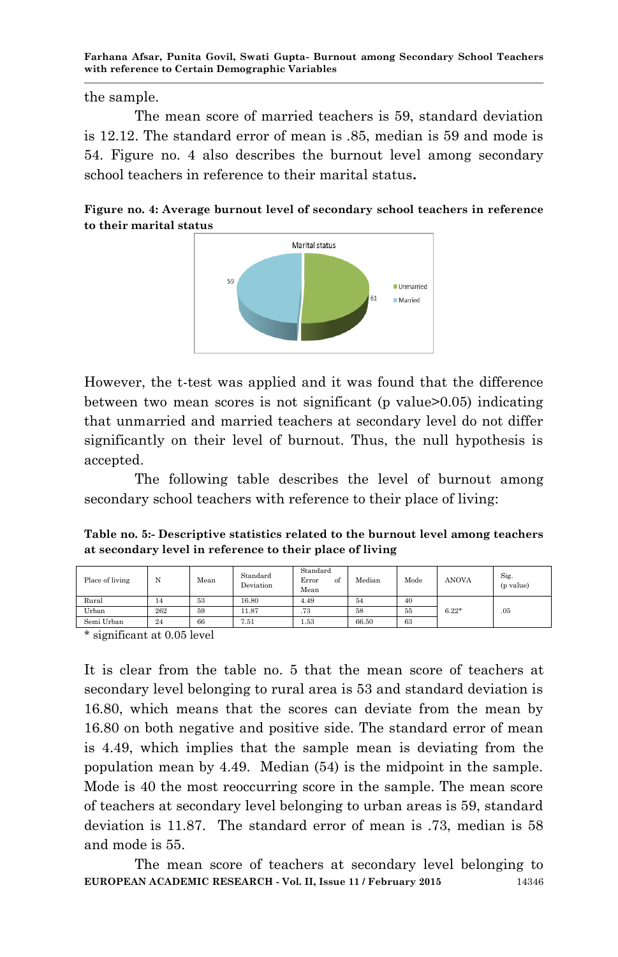the sample.

The mean score of married teachers is 59, standard deviation is 12.12. The standard error of mean is .85, median is 59 and mode is 54. Figure no. 4 also describes the burnout level among secondary school teachers in reference to their marital status**.**

**Figure no. 4: Average burnout level of secondary school teachers in reference to their marital status**



However, the t-test was applied and it was found that the difference between two mean scores is not significant (p value>0.05) indicating that unmarried and married teachers at secondary level do not differ significantly on their level of burnout. Thus, the null hypothesis is accepted.

The following table describes the level of burnout among secondary school teachers with reference to their place of living:

**Table no. 5:- Descriptive statistics related to the burnout level among teachers at secondary level in reference to their place of living**

| Place of living | N   | Mean | Standard<br>Deviation | Standard<br>Error<br>ot<br>Mean | Median | Mode | <b>ANOVA</b> | Sig.<br>(p value) |
|-----------------|-----|------|-----------------------|---------------------------------|--------|------|--------------|-------------------|
| Rural           | 14  | 53   | 16.80                 | 4.49                            | 54     | 40   |              |                   |
| Urban           | 262 | 59   | 11.87                 | .73                             | 58     | 55   | $6.22*$      | .05               |
| Semi Urban      | 24  | 66   | 7.51                  | 1.53                            | 66.50  | 63   |              |                   |

\* significant at 0.05 level

It is clear from the table no. 5 that the mean score of teachers at secondary level belonging to rural area is 53 and standard deviation is 16.80, which means that the scores can deviate from the mean by 16.80 on both negative and positive side. The standard error of mean is 4.49, which implies that the sample mean is deviating from the population mean by 4.49. Median (54) is the midpoint in the sample. Mode is 40 the most reoccurring score in the sample. The mean score of teachers at secondary level belonging to urban areas is 59, standard deviation is 11.87. The standard error of mean is .73, median is 58 and mode is 55.

**EUROPEAN ACADEMIC RESEARCH - Vol. II, Issue 11 / February 2015** 14346 The mean score of teachers at secondary level belonging to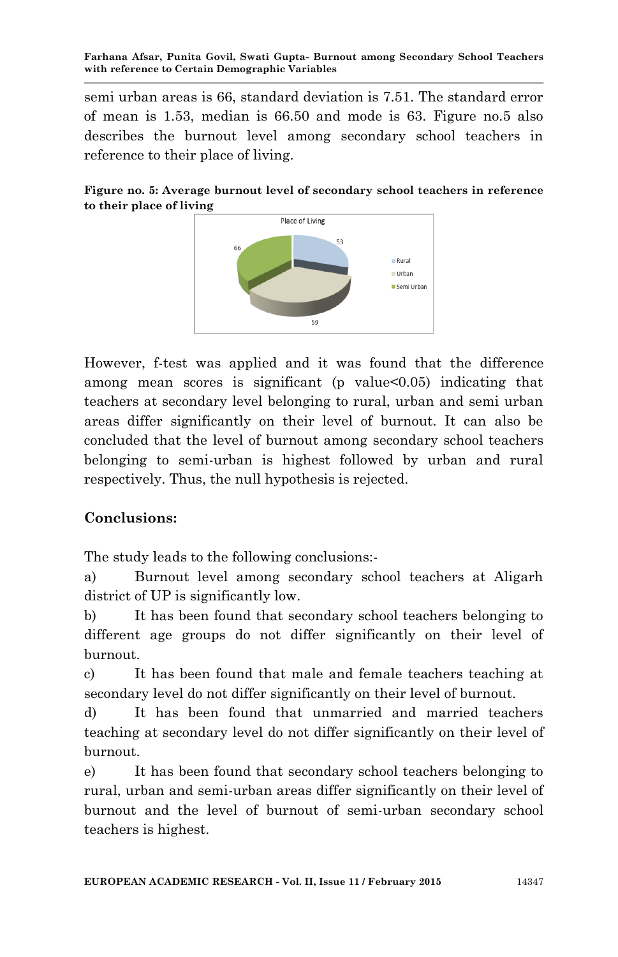semi urban areas is 66, standard deviation is 7.51. The standard error of mean is 1.53, median is 66.50 and mode is 63. Figure no.5 also describes the burnout level among secondary school teachers in reference to their place of living.





However, f-test was applied and it was found that the difference among mean scores is significant ( $p$  value $<0.05$ ) indicating that teachers at secondary level belonging to rural, urban and semi urban areas differ significantly on their level of burnout. It can also be concluded that the level of burnout among secondary school teachers belonging to semi-urban is highest followed by urban and rural respectively. Thus, the null hypothesis is rejected.

# **Conclusions:**

The study leads to the following conclusions:-

a) Burnout level among secondary school teachers at Aligarh district of UP is significantly low.

b) It has been found that secondary school teachers belonging to different age groups do not differ significantly on their level of burnout.

c) It has been found that male and female teachers teaching at secondary level do not differ significantly on their level of burnout.

d) It has been found that unmarried and married teachers teaching at secondary level do not differ significantly on their level of burnout.

e) It has been found that secondary school teachers belonging to rural, urban and semi-urban areas differ significantly on their level of burnout and the level of burnout of semi-urban secondary school teachers is highest.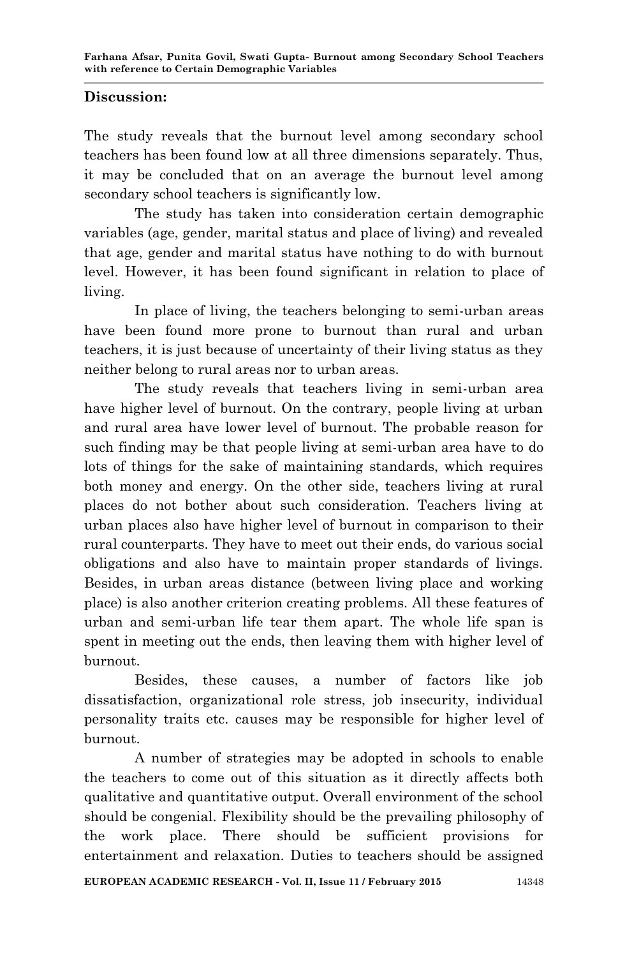#### **Discussion:**

The study reveals that the burnout level among secondary school teachers has been found low at all three dimensions separately. Thus, it may be concluded that on an average the burnout level among secondary school teachers is significantly low.

The study has taken into consideration certain demographic variables (age, gender, marital status and place of living) and revealed that age, gender and marital status have nothing to do with burnout level. However, it has been found significant in relation to place of living.

In place of living, the teachers belonging to semi-urban areas have been found more prone to burnout than rural and urban teachers, it is just because of uncertainty of their living status as they neither belong to rural areas nor to urban areas.

The study reveals that teachers living in semi-urban area have higher level of burnout. On the contrary, people living at urban and rural area have lower level of burnout. The probable reason for such finding may be that people living at semi-urban area have to do lots of things for the sake of maintaining standards, which requires both money and energy. On the other side, teachers living at rural places do not bother about such consideration. Teachers living at urban places also have higher level of burnout in comparison to their rural counterparts. They have to meet out their ends, do various social obligations and also have to maintain proper standards of livings. Besides, in urban areas distance (between living place and working place) is also another criterion creating problems. All these features of urban and semi-urban life tear them apart. The whole life span is spent in meeting out the ends, then leaving them with higher level of burnout.

Besides, these causes, a number of factors like job dissatisfaction, organizational role stress, job insecurity, individual personality traits etc. causes may be responsible for higher level of burnout.

A number of strategies may be adopted in schools to enable the teachers to come out of this situation as it directly affects both qualitative and quantitative output. Overall environment of the school should be congenial. Flexibility should be the prevailing philosophy of the work place. There should be sufficient provisions for entertainment and relaxation. Duties to teachers should be assigned